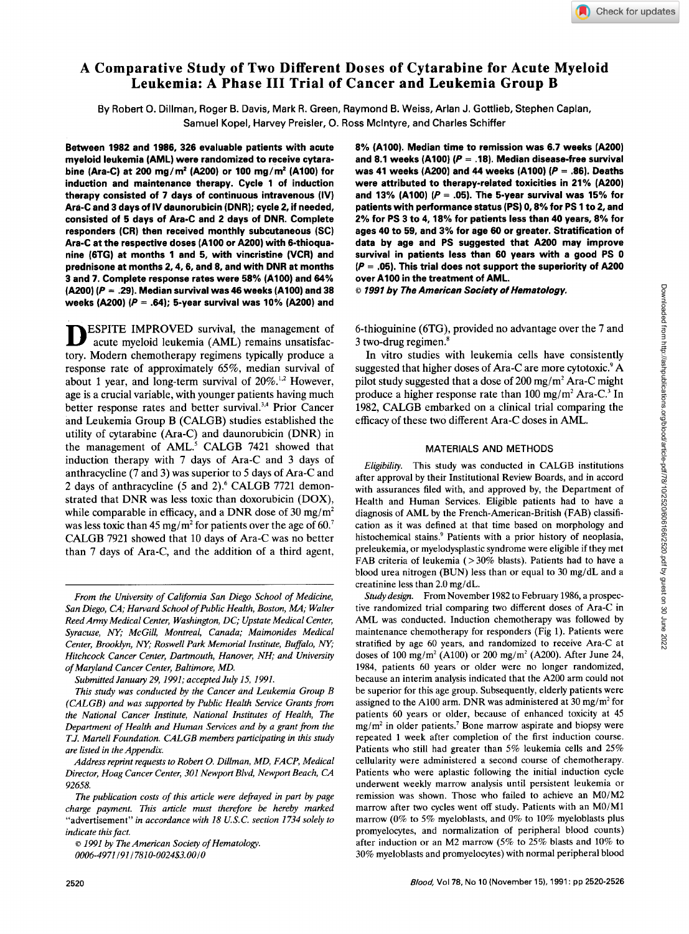# **A Comparative Study of Two Different Doses of Cytarabine for Acute Myeloid Leukemia: A Phase I11 Trial of Cancer and Leukemia Group B**

By Robert 0. Dillman, Roger B. Davis, Mark R. Green, Raymond **6.** Weiss, Arlan J. Gottlieb, Stephen Caplan, Samuel Kopel, Harvey Preisler, 0. Ross Mclntyre, and Charles Schiffer

**Between 1982 and 1986, 326 evaluable patients with acute myeloid leukemia (AML) were randomized to receive cytarabine (Ara-C) at 200 mg/m2** *(A200)* **or 100 mg/m2 (A100) for induction and maintenance therapy. Cycle 1 of induction therapy consisted of 7 days of continuous intravenous (IV) Ara-C and 3 days of IV daunorubicin (DNR); cycle 2, if needed, consisted of 5 days of Ara-C and 2 days of DNR. Complete responders (CR) then received monthly subcutaneous (SC) Ara-C at the respective doses (A100 or A200) with 6-thioquanine (6TG) at months 1 and 5, with vincristine (VCR) and prednisone at months 2,4.6, and 8, and with DNR at months 3 and 7. Complete response rates were 58% (A100) and 64% (A200)** *(P* = **.29). Median survival was 46 weeks (A100) and 38 weeks** *(A200) (P* = **64); 5-year survival was 10% (A200) and** 

ESPITE IMPROVED survival, the management of acute myeloid leukemia (AML) remains unsatisfactory. Modern chemotherapy regimens typically produce a response rate of approximately 65%, median survival of about 1 year, and long-term survival of 20%.<sup>1,2</sup> However, age is a crucial variable, with younger patients having much better response rates and better survival. $3,4$  Prior Cancer and Leukemia Group B (CALGB) studies established the utility of cytarabine (Ara-C) and daunorubicin (DNR) in the management of AML? CALGB 7421 showed that induction therapy with 7 days of Ara-C and *3* days of anthracycline (7 and *3)* was superior to 5 days of Ara-C and 2 days of anthracycline *(5* and 2).6 CALGB 7721 demonstrated that DNR was less toxic than doxorubicin (DOX), while comparable in efficacy, and a DNR dose of **30** mg/m2 was less toxic than 45 mg/m2 for patients over the age of **60.'**  CALGB 7921 showed that 10 days of Ara-C was no better than 7 days of Ara-C, and the addition of a third agent,

**8% (A100). Median time to remission was 6.7 weeks (A200) and 8.1 weeks (A100)** *(P* = **.18). Median disease-free survival was 41 weeks (A200) and 44 weeks (AlOO)** *(P* = **36). Deaths were attributed to therapy-related toxicities in 21% (A200) and 13% (A100)** *(P* = **.05). The 5-year survival was 15% for patients with performance status (PS)** *0,8%* **for PS 1 to 2, and 2% for PS 3 to 4.18% for patients less than 40 years, 8% for ages 40 to 59, and 3% for age 60 or greater. Stratification of data by age and PS suggested that A200 may improve survival in patients less than 60 years with a good PS 0**  *(P* = **.05). This trial does not support the superiority of** *A200*  **over A100 in the treatment of AML.** 

*o 1991 by The American Society of Hematology.* 

6-thioguinine (STG), provided no advantage over the 7 and 3 two-drug regimen. $\delta$ 

In vitro studies with leukemia cells have consistently suggested that higher doses of Ara-C are more cytotoxic.' **A**  pilot study suggested that a dose of  $200 \text{ mg/m}^2$  Ara-C might produce a higher response rate than  $100 \text{ mg/m}^2$  Ara-C.<sup>3</sup> In 1982, CALGB embarked on a clinical trial comparing the efficacy of these two different Ara-C doses in AML.

# MATERIALS AND METHODS

*Eligibility.* This study was conducted in CALGB institutions after approval by their Institutional Review Boards, and in accord with assurances filed with, and approved by, the Department of Health and Human Services. Eligible patients had to have a diagnosis of AML by the French-American-British (FAB) classification as it was defined at that time based on morphology and histochemical stains? Patients with a prior history of neoplasia, preleukemia, or myelodysplastic syndrome were eligible if they met FAB criteria of leukemia ( $>$  30% blasts). Patients had to have a blood urea nitrogen (BUN) less than or equal to 30 mg/dL and a creatinine less than  $2.0 \text{ mg/dL}$ .

From November 1982 to February 1986, a prospec-*Study design.*  tive randomized trial comparing two different doses of Ara-C in AML was conducted. Induction chemotherapy was followed by maintenance chemotherapy for responders (Fig 1). Patients were stratified by age 60 years, and randomized to receive Ara-C at doses of 100 mg/m2 (A100) or 200 mg/m2 *(A200).* After June 24, 1984, patients 60 years or older were no longer randomized, because an interim analysis indicated that the A200 arm could not be superior for this age group. Subsequently, elderly patients were assigned to the A100 arm. DNR was administered at 30 mg/m2 for patients 60 years or older, because of enhanced toxicity at 45 mg/m2 in older patients.' Bone marrow aspirate and biopsy were repeated 1 week after completion of the first induction course. Patients who still had greater than 5% leukemia cells and 25% cellularity were administered a second course of chemotherapy. Patients who were aplastic following the initial induction cycle underwent weekly marrow analysis until persistent leukemia or remission was shown. Those who failed to achieve an M0/M2 marrow after two cycles went off study. Patients with an M0/M1 marrow (0% to 5% myeloblasts, and 0% to 10% myeloblasts plus promyelocytes, and normalization of peripheral blood counts) after induction or an M2 marrow (5% to 25% blasts and 10% to 30% myeloblasts and promyelocytes) with normal peripheral blood

*From the University of California San Diego School of Medicine, San Diego, CA; Harvard School of Public Health, Boston, MA; Walter Reed Army Medical Center, Washington, DC; Upstate Medical Center, Syracuse, Ny; McGill, Montreal, Canada; Maimonides Medical Center, Brooklyn, Ny; Roswell Park Memorial Institute, Buffalo, W; Hitchcock Cancer Center, Dartmouth, Hanover, NH; and University of Maryland Cancer Center, Baltimore, MD.* 

*Submitted January 29,1991; accepted July 15, 1991.* 

*This study was conducted by the Cancer and Leukemia Group B (CALGB) and was supported by Public Health Service Grants from the National Cancer Institute, National Institutes of Health, The Department of Health and Human Services and by a grant from the T.J. Martell Foundation. CALGB members participating in this study are listed in the Appendix.* 

*Address reprint requests to Robert 0. Dillman, MD, FACP, Medical Director, Hoag Cancer Center, 301 Newport Blvd, Newport Beach, CA 92658.* 

*The publication costs of this article were defayed in part by page charge payment. This article must therefore be hereby marked*  "advertisement" in *accordance with 18 U.S.C. section 1734 solely to indicate this fact.* 

*<sup>0</sup> 1991 by The American Society of Hematology.* 

*<sup>0006-4971 191 17810-0024\$3.00/0</sup>*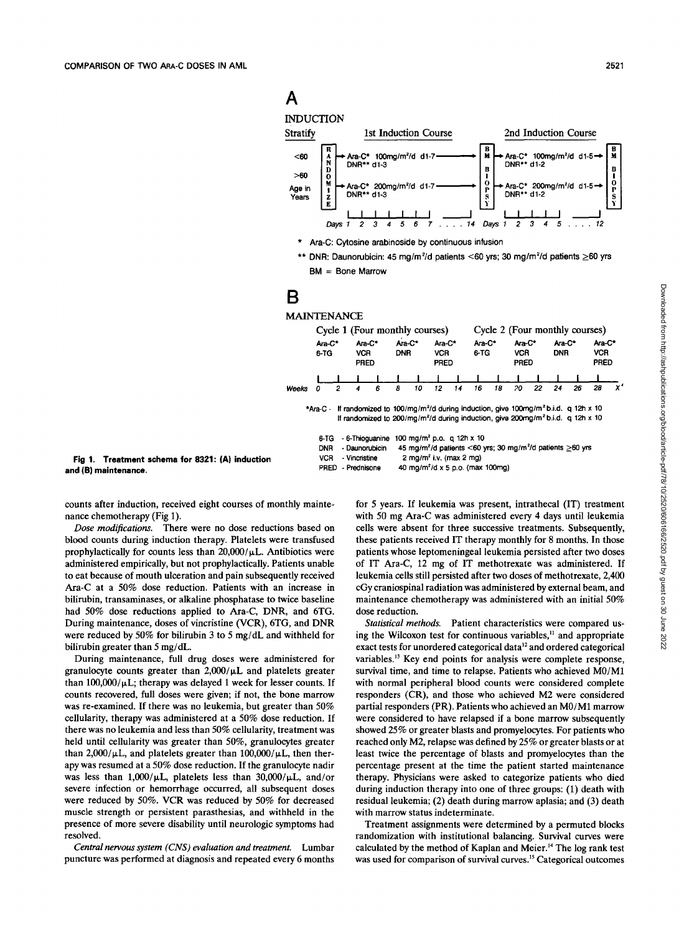# **A**





\* Ara-C: Cytosine arabinoside by continuous infusion

\*\* DNR: Daunorubicin: 45 mg/m<sup>2</sup>/d patients <60 yrs; 30 mg/m<sup>2</sup>/d patients ≥60 yrs BM = Bone Marrow

# **B**

### MAINTENANCE

|              | Cycle 1 (Four monthly courses)                              |   |                                                                    |   |                      | Cycle 2 (Four monthly courses) |                                                                              |    |                                                                                                                                                                                                                                                                                                                                                                |    |                                     |    |                      |    |                                     |    |
|--------------|-------------------------------------------------------------|---|--------------------------------------------------------------------|---|----------------------|--------------------------------|------------------------------------------------------------------------------|----|----------------------------------------------------------------------------------------------------------------------------------------------------------------------------------------------------------------------------------------------------------------------------------------------------------------------------------------------------------------|----|-------------------------------------|----|----------------------|----|-------------------------------------|----|
|              | Ara-C*<br>6-TG                                              |   | Ara-C*<br>VCR.<br><b>PRED</b>                                      |   | Ara-C*<br><b>DNR</b> |                                | Ara-C*<br><b>VCR</b><br><b>PRED</b>                                          |    | Ara-C*<br>6-TG                                                                                                                                                                                                                                                                                                                                                 |    | Ara-C*<br><b>VCR</b><br><b>PRED</b> |    | Ara-C*<br><b>DNR</b> |    | Ara-C*<br><b>VCR</b><br><b>PRED</b> |    |
|              |                                                             |   |                                                                    |   |                      |                                |                                                                              |    |                                                                                                                                                                                                                                                                                                                                                                |    |                                     |    |                      |    |                                     |    |
| <b>Weeks</b> | 0                                                           | 2 | 4                                                                  | 6 | 8                    | 10                             | 12                                                                           | 14 | 16                                                                                                                                                                                                                                                                                                                                                             | 18 | 20                                  | 22 | 24                   | 26 | 28                                  | x' |
|              | *Ara-C -<br>6 TG<br><b>DNR</b><br><b>VCR</b><br><b>PRED</b> |   | - 6-Thioguanine<br>- Daunorubicin<br>- Vincristine<br>- Prednisone |   |                      |                                | 100 mg/m <sup>2</sup> p.o. q 12h x 10<br>2 mg/m <sup>2</sup> i.v. (max 2 mg) |    | If randomized to 100/mg/m <sup>2</sup> /d during induction, give 100mg/m <sup>2</sup> b.i.d. q 12h x 10<br>If randomized to 200/mg/m <sup>2</sup> /d during induction, give 200mg/m <sup>2</sup> b.i.d. q 12h x 10<br>45 mg/m <sup>2</sup> /d patients <60 yrs; 30 mg/m <sup>2</sup> /d patients $\geq$ 60 yrs<br>40 mg/m <sup>2</sup> /d x 5 p.o. (max 100mg) |    |                                     |    |                      |    |                                     |    |

**Fig 1. Treatment schema for 8321: (A) induction and (6) maintenance.** 

counts after induction, received eight courses of monthly maintenance chemotherapy (Fig 1).

Dose modifications. There were no dose reductions based on blood counts during induction therapy. Platelets were transfused prophylactically for counts less than  $20,000/\mu L$ . Antibiotics were administered empirically, but not prophylactically. Patients unable to eat because of mouth ulceration and pain subsequently received Ara-C at a 50% dose reduction. Patients with an increase in bilirubin, transaminases, or alkaline phosphatase to twice baseline had 50% dose reductions applied to Ara-C, DNR, and 6TG. During maintenance, doses of vincristine (VCR), 6TG, and DNR were reduced by 50% for bilirubin 3 to 5 mg/dL and withheld for bilirubin greater than 5 mg/dL.

During maintenance, full drug doses were administered for granulocyte counts greater than  $2,000/\mu L$  and platelets greater than  $100,000/\mu L$ ; therapy was delayed 1 week for lesser counts. If counts recovered, full doses were given; if not, the bone marrow was re-examined. If there was no leukemia, but greater than 50% cellularity, therapy was administered at a 50% dose reduction. If there was no leukemia and less than 50% cellularity, treatment was held until cellularity was greater than 50%, granulocytes greater than  $2,000/\mu L$ , and platelets greater than  $100,000/\mu L$ , then therapy was resumed at a 50% dose reduction. If the granulocyte nadir was less than 1,000/ $\mu$ L, platelets less than 30,000/ $\mu$ L, and/or severe infection or hemorrhage occurred, all subsequent doses were reduced by 50%. VCR was reduced by 50% for decreased muscle strength or persistent parasthesias, and withheld in the presence of more severe disability until neurologic symptoms had resolved.

*Central nervous system (CNS) evaluation and treatment.* Lumbar puncture was performed at diagnosis and repeated every 6 months

for 5 years. If leukemia was present, intrathecal (IT) treatment with 50 mg Ara-C was administered every **4** days until leukemia cells were absent for three successive treatments. Subsequently, these patients received IT therapy monthly for 8 months. **In** those patients whose leptomeningeal leukemia persisted after two doses of IT ha-C, 12 mg of IT methotrexate was administered. If leukemia cells still persisted after two doses of methotrexate, 2,400 cGy craniospinal radiation was administered by external beam, and maintenance chemotherapy was administered with an initial 50% dose reduction.

Statistical methods. Patient characteristics were compared using the Wilcoxon test for continuous variables,<sup>11</sup> and appropriate exact tests for unordered categorical data'' and ordered categorical variables.<sup>13</sup> Key end points for analysis were complete response, survival time, and time to relapse. Patients who achieved MO/M1 with normal peripheral blood counts were considered complete responders (CR), and those who achieved M2 were considered partial responders (PR). Patients who achieved an MO/M1 marrow were considered to have relapsed if a bone marrow subsequently showed 25% or greater blasts and promyelocytes. For patients who reached only M2, relapse was defined by 25% or greater blasts or at least twice the percentage of blasts and promyelocytes than the percentage present at the time the patient started maintenance therapy. Physicians were asked to categorize patients who died during induction therapy into one of three groups: (1) death with residual leukemia; (2) death during marrow aplasia; and (3) death with marrow status indeterminate.

Treatment assignments were determined by a permuted blocks randomization with institutional balancing. Survival curves were calculated by the method of Kaplan and Meier.14 The log rank test was used for comparison of survival curves.<sup>15</sup> Categorical outcomes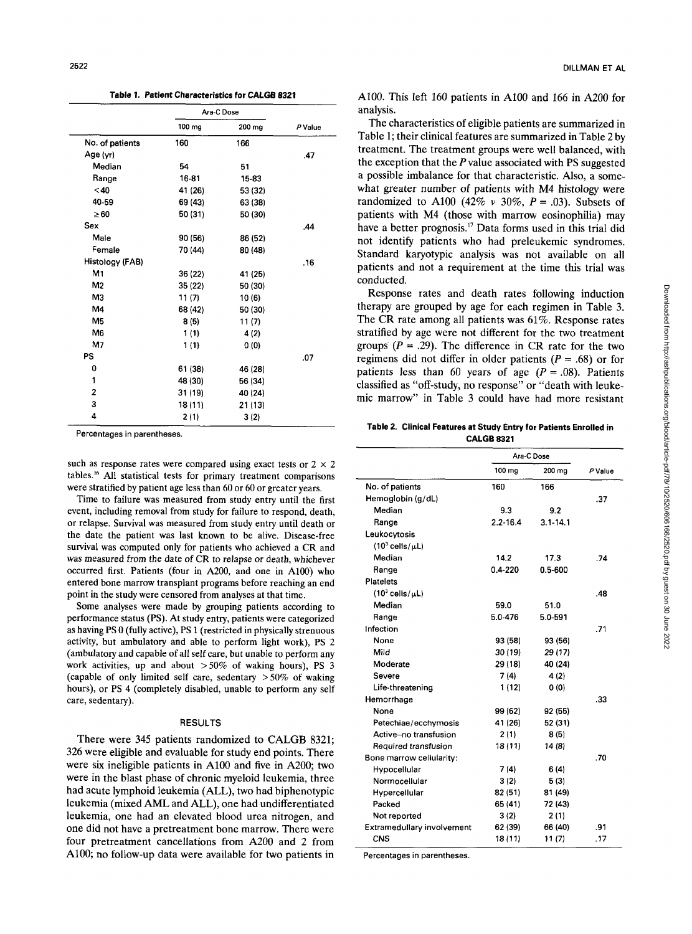**Table 1. Patient Characteristics for CALGB 8321** 

|                 |         | Ara-C Dose |         |
|-----------------|---------|------------|---------|
|                 | 100 mg  | 200 mg     | P Value |
| No. of patients | 160     | 166        |         |
| Age (yr)        |         |            | .47     |
| Median          | 54      | 51         |         |
| Range           | 16-81   | 15-83      |         |
| $<$ 40          | 41 (26) | 53 (32)    |         |
| 40-59           | 69 (43) | 63 (38)    |         |
| $\geq 60$       | 50 (31) | 50 (30)    |         |
| Sex             |         |            | .44     |
| Male            | 90(56)  | 86 (52)    |         |
| Female          | 70 (44) | 80 (48)    |         |
| Histology (FAB) |         |            | .16     |
| M1              | 36 (22) | 41 (25)    |         |
| M <sub>2</sub>  | 35 (22) | 50 (30)    |         |
| M3              | 11(7)   | 10(6)      |         |
| M4              | 68 (42) | 50 (30)    |         |
| M <sub>5</sub>  | 8(5)    | 11(7)      |         |
| M <sub>6</sub>  | 1(1)    | 4(2)       |         |
| M7              | 1(1)    | 0(0)       |         |
| PS              |         |            | .07     |
| 0               | 61 (38) | 46 (28)    |         |
| 1               | 48 (30) | 56 (34)    |         |
| $\overline{2}$  | 31 (19) | 40 (24)    |         |
| 3               | 18 (11) | 21 (13)    |         |
| 4               | 2 (1)   | 3(2)       |         |
|                 |         |            |         |

Percentages in parentheses.

such as response rates were compared using exact tests or  $2 \times 2$ tables.16 All statistical tests for primary treatment comparisons were stratified by patient age less than 60 or *60* or greater years.

Time to failure was measured from study entry until the first event, including removal from study for failure to respond, death, or relapse. Survival was measured from study entry until death or the date the patient was last known to be alive. Disease-free survival was computed only for patients who achieved a CR and was measured from the date of CR to relapse or death, whichever occurred first. Patients (four in A200, and one in A100) who entered bone marrow transplant programs before reaching an end point in the study were censored from analyses at that time.

Some analyses were made by grouping patients according to performance status (PS). At study entry, patients were categorized as having PS 0 (fully active), PS 1 (restricted in physically strenuous activity, but ambulatory and able to perform light work), PS 2 (ambulatory and capable of all self care, but unable to perform any work activities, up and about **>50%** of waking hours), PS 3 (capable of only limited self care, sedentary  $>50\%$  of waking hours), or PS **4** (completely disabled, unable to perform any self care, sedentary).

#### RESULTS

There were **345** patients randomized to CALGB **8321; 326** were eligible and evaluable for study end points. There were six ineligible patients in **A100** and five in *A200;* two were in the blast phase of chronic myeloid leukemia, three had acute lymphoid leukemia (ALL), two had biphenotypic leukemia (mixed **AML** and **ALL),** one had undifferentiated leukemia, one had an elevated blood urea nitrogen, and one did not have a pretreatment bone marrow. There were four pretreatment cancellations from **A200** and **2** from **A100;** no follow-up data were available for two patients in

**A100.** This left **160** patients in **A100** and **166** in **A200** for analysis.

The characteristics of eligible patients are summarized in Table 1; their clinical features are summarized in Table **2** by treatment. The treatment groups were well balanced, with the exception that the *P* value associated with **PS** suggested a possible imbalance for that characteristic. *Also,* a somewhat greater number of patients with **M4** histology were randomized to A100 (42%  $v$  30%,  $P = .03$ ). Subsets of patients with **M4** (those with marrow eosinophilia) may have a better prognosis." Data forms used in this trial did not identify patients who had preleukemic syndromes. Standard karyotypic analysis was not available on all patients and not a requirement at the time this trial was conducted.

Response rates and death rates following induction therapy are grouped by age for each regimen in Table **3.**  The CR rate among all patients was **61%.** Response rates stratified by age were not different for the two treatment groups  $(P = .29)$ . The difference in CR rate for the two regimens did not differ in older patients  $(P = .68)$  or for patients less than 60 years of age  $(P = .08)$ . Patients classified as "off-study, no response" or "death with leukemic marrow" in Table **3** could have had more resistant

#### **Table 2. Clinical Features at Study Entry for Patients Enrolled in CALGB 8321**

|                            | Ara-C Dose   |              |         |
|----------------------------|--------------|--------------|---------|
|                            | 100 mg       | 200 mg       | P Value |
| No. of patients            | 160          | 166          |         |
| Hemoglobin (g/dL)          |              |              | .37     |
| Median                     | 9.3          | 9.2          |         |
| Range                      | $2.2 - 16.4$ | $3.1 - 14.1$ |         |
| Leukocytosis               |              |              |         |
| $(10^3$ cells/ $\mu L$ )   |              |              |         |
| Median                     | 14.2         | 17.3         | .74     |
| Range                      | $0.4 - 220$  | $0.5 - 600$  |         |
| <b>Platelets</b>           |              |              |         |
| $(10^3$ cells/ $\mu$ L)    |              |              | .48     |
| Median                     | 59.0         | 51.0         |         |
| Range                      | 5.0-476      | 5.0-591      |         |
| Infection                  |              |              | .71     |
| None                       | 93 (58)      | 93 (56)      |         |
| Mild                       | 30 (19)      | 29 (17)      |         |
| Moderate                   | 29 (18)      | 40 (24)      |         |
| Severe                     | 7(4)         | 4(2)         |         |
| Life-threatening           | 1 (12)       | 0 (0)        |         |
| Hemorrhage                 |              |              | .33     |
| None                       | 99 (62)      | 92 (55)      |         |
| Petechiae/ecchymosis       | 41 (26)      | 52 (31)      |         |
| Active–no transfusion      | 2(1)         | 8(5)         |         |
| Required transfusion       | 18 (11)      | 14 (8)       |         |
| Bone marrow cellularity:   |              |              | .70     |
| Hypocellular               | 7(4)         | 6(4)         |         |
| Normocellular              | 3(2)         | 5 (3)        |         |
| Hypercellular              | 82 (51)      | 81 (49)      |         |
| Packed                     | 65 (41)      | 72 (43)      |         |
| Not reported               | 3(2)         | 2(1)         |         |
| Extramedullary involvement | 62 (39)      | 66 (40)      | .91     |
| CNS                        | 18 (11)      | 11(7)        | -17     |

Percentages in parentheses.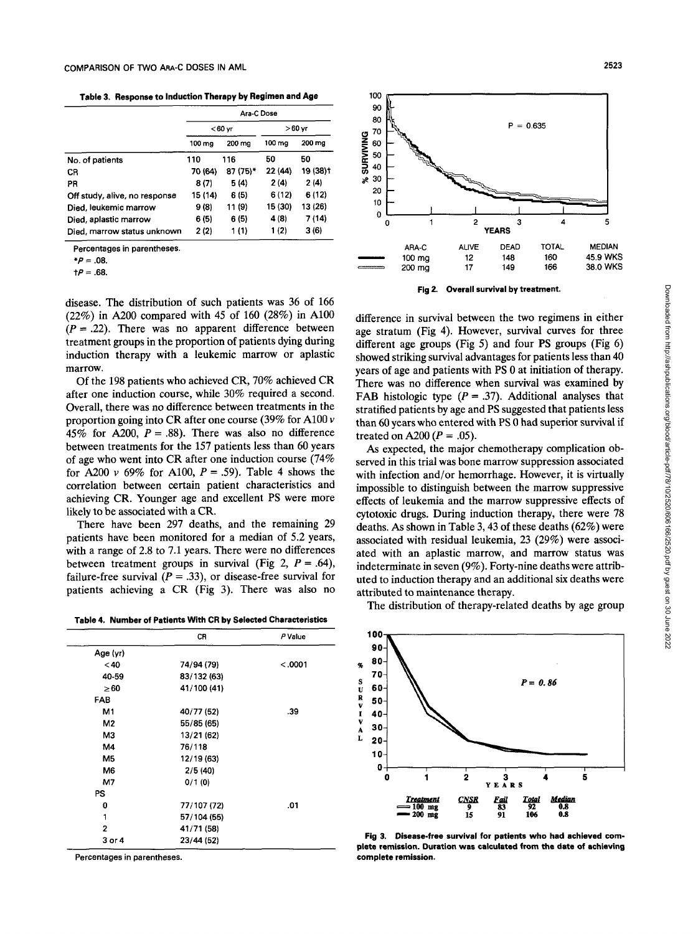**Table 3. Response to Induction Therapy by Regimen and Age** 

|                               | Ara-C Dose |                 |         |          |  |  |
|-------------------------------|------------|-----------------|---------|----------|--|--|
|                               |            | $<$ 60 $\vee$ r | >60 yr  |          |  |  |
|                               | 100 mg     | 200 mg          | 100 ma  | 200 mg   |  |  |
| No. of patients               | 110        | 116             | 50      | 50       |  |  |
| CR                            | 70 (64)    | 87 (75)*        | 22 (44) | 19 (38)† |  |  |
| PR                            | 8(7)       | 5(4)            | 2(4)    | 2(4)     |  |  |
| Off study, alive, no response | 15 (14)    | 6 (5)           | 6 (12)  | 6 (12)   |  |  |
| Died, leukemic marrow         | 9(8)       | 11 (9)          | 15 (30) | 13 (26)  |  |  |
| Died, aplastic marrow         | 6(5)       | 6(5)            | 4(8)    | 7 (14)   |  |  |
| Died, marrow status unknown   | 2(2)       | 1 (1)           | 1(2)    | 3 (6)    |  |  |

Percentages in parentheses

*\*P* = **.08.** 

*tP* = .68.

disease. The distribution of such patients was **36** of **166 (22%)** in *A200* compared with **45** of **160 (28%)** in **A100**   $(P = .22)$ . There was no apparent difference between treatment groups in the proportion of patients dying during induction therapy with a leukemic marrow or aplastic marrow.

Of the **198** patients who achieved **CR, 70%** achieved **CR**  after one induction course, while **30%** required a second. Overall, there was no difference between treatments in the proportion going into **CR** after one course **(39%** for **A100** v 45% for  $A200$ ,  $P = .88$ ). There was also no difference between treatments for the **157** patients less than **60** years of age who went into **CR** after one induction course **(74%**  for A200  $\nu$  69% for A100,  $P = .59$ ). Table 4 shows the correlation between certain patient characteristics and achieving **CR.** Younger age and excellent PS were more likely to be associated with a CR.

There have been **297** deaths, and the remaining **29**  patients have been monitored for a median of **5.2** years, with a range of **2.8** to **7.1** years. There were no differences between treatment groups in survival (Fig 2,  $P = .64$ ), failure-free survival  $(P = .33)$ , or disease-free survival for patients achieving a **CR** (Fig **3).** There was also no

**Table 4. Number of Patients With CR by Selected Characteristics** 

|                | CR          | P Value |
|----------------|-------------|---------|
| Age (yr)       |             |         |
| $40$           | 74/94 (79)  | < .0001 |
| 40-59          | 83/132 (63) |         |
| $\geq 60$      | 41/100 (41) |         |
| FAB            |             |         |
| M1             | 40/77 (52)  | .39     |
| M2             | 55/85 (65)  |         |
| M3             | 13/21 (62)  |         |
| M4             | 76/118      |         |
| M <sub>5</sub> | 12/19 (63)  |         |
| M6             | 2/5(40)     |         |
| M7             | 0/1(0)      |         |
| PS.            |             |         |
| 0              | 77/107 (72) | .01     |
| 1              | 57/104 (55) |         |
| $\overline{2}$ | 41/71 (58)  |         |
| 3 or 4         | 23/44 (52)  |         |

Percentages in parentheses.



**Fig 2. Overall survival by treatment.** 

difference in survival between the two regimens in either age stratum (Fig **4).** However, survival curves for three different age groups (Fig 5) and four **PS** groups (Fig **6)**  showed striking survival advantages for patients less than **40**  years of age and patients with **PS** 0 at initiation of therapy. There was no difference when survival was examined by FAB histologic type  $(P = .37)$ . Additional analyses that stratified patients by age and PS suggested that patients less than **60** years who entered with PS 0 had superior survival if treated on  $A200 (P = .05)$ .

**As** expected, the major chemotherapy complication observed in this trial was bone marrow suppression associated with infection and/or hemorrhage. However, it is virtually impossible to distinguish between the marrow suppressive effects of leukemia and the marrow suppressive effects of cytotoxic drugs. During induction therapy, there were **78**  deaths. *As* shown in Table **3,43** of these deaths **(62%)** were associated with residual leukemia, **23 (29%)** were associated with an aplastic marrow, and marrow status was indeterminate in seven **(9%).** Forty-nine deaths were attributed to induction therapy and an additional **six** deaths were attributed to maintenance therapy.

The distribution of therapy-related deaths by age group



**Disease-free survival for patients who had achieved com-Fig 3. plete remission. Duration was calculated from the date of achieving complete remission.**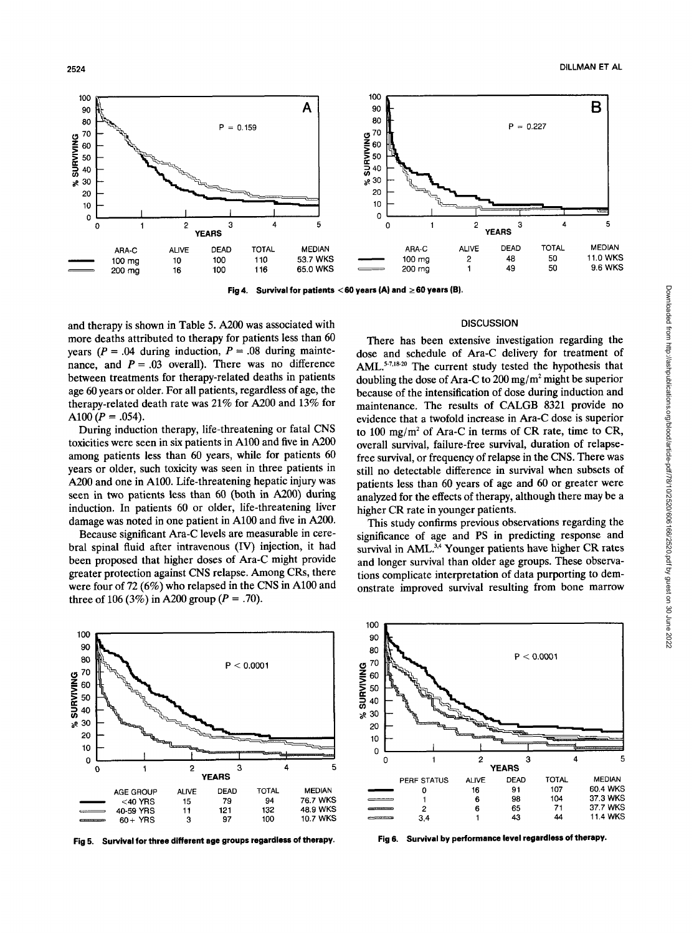

**Fig 4. Survival for patients** < *60* **years (A) and** *2* **60 years (B).** 

and therapy is shown in Table 5. *A200* was associated with more deaths attributed to therapy for patients less than 60 years  $(P = .04$  during induction,  $P = .08$  during maintenance, and  $P = .03$  overall). There was no difference between treatments for therapy-related deaths in patients age 60 years or older. For all patients, regardless of age, the therapy-related death rate was 21% for *A200* and 13% for A100  $(P = .054)$ .

During induction therapy, life-threatening or fatal CNS toxicities were seen in six patients in A100 and five in A200 among patients less than 60 years, while for patients 60 years or older, such toxicity was seen in three patients in *A200* and one in A100. Life-threatening hepatic injury was seen in two patients less than 60 (both in A200) during induction. In patients 60 or older, life-threatening liver damage was noted in one patient in A100 and five in A200.

Because significant Ara-C levels are measurable in cerebral spinal fluid after intravenous (IV) injection, it had been proposed that higher doses of Ara-C might provide greater protection against CNS relapse. Among CRs, there were four of 72 (6%) who relapsed in the CNS in A100 and three of 106 (3%) in A200 group  $(P = .70)$ .

#### 100 **1 100 <b>1 100 1 100 1 100 1 100 100 100 100 100 100 100 100 100 100 100 100 100 100 100 100 100 100 100 100 100 100 100 100 100 100 100 100 100** 90 **80**  70 *p* 60 **2** <sup>50</sup>  $\frac{1}{2}$  40 **ap** 30 20 10 0  $P < 0.0001$ 0 1 2 3 4 **5 YEARS**   $\begin{array}{c|c}\n 20 & 0 \\
 \hline\n 0 & 0\n \end{array}$ **AGEGAOUP ALIVE DEAD TOTAL MEDIAN**  - <40YRS 15 79 94 76.7 WKS 10<br>
0<br>
40-69 YPS 11 121 132 48.9 WKS<br>
40-59 YPS 11 121 132 48.9 WKS<br>
60 + YPS 3 97 100 10.7 WKS 60+ YRS 3 97 100 10.7WKS

**Fig 5. Survival for three different age groups regardless of therapy.** 

#### **DISCUSSION**

There has been extensive investigation regarding the dose and schedule of Ara-C delivery for treatment of AML. $5-7.18-20$  The current study tested the hypothesis that doubling the dose of Ara-C to 200 mg/m<sup>2</sup> might be superior because of the intensification of dose during induction and maintenance. The results of CALGB 8321 provide no evidence that a twofold increase in Ara-C dose is superior to 100 mg/m<sup>2</sup> of Ara-C in terms of CR rate, time to CR, overall survival, failure-free survival, duration of relapsefree survival, or frequency of relapse in the CNS. There was still no detectable difference in survival when subsets of patients less than 60 years of age and 60 or greater were analyzed for the effects of therapy, although there may be a higher CR rate in younger patients.

This study confirms previous observations regarding the significance of age and PS in predicting response and survival in AML.<sup>3,4</sup> Younger patients have higher CR rates and longer survival than older age groups. These observations complicate interpretation of data purporting to demonstrate improved survival resulting from bone marrow



**Fig 6. Survival by performance level regardless of therapy.**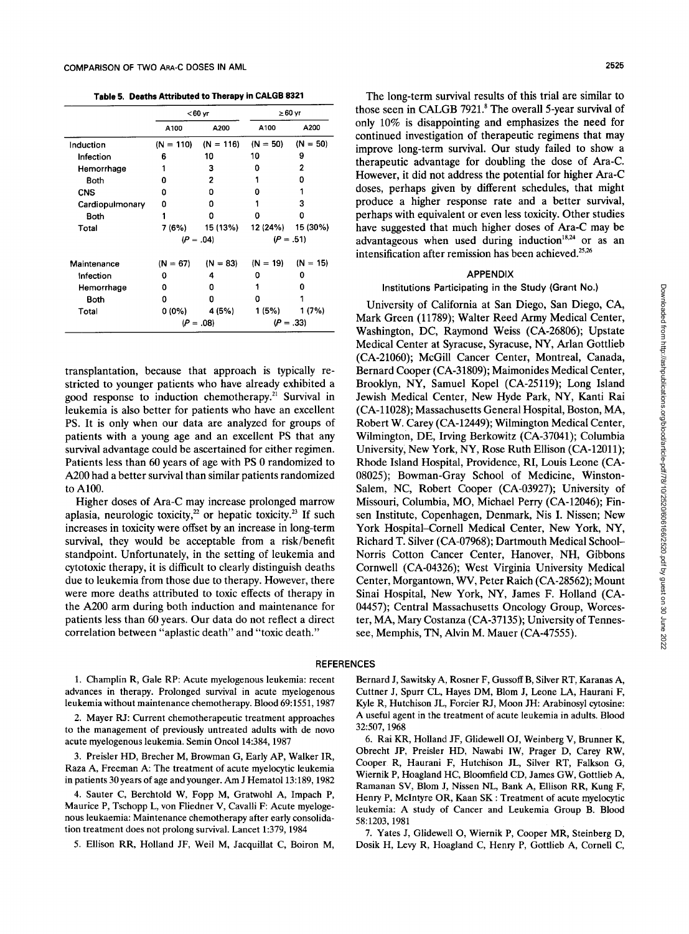**Table 5. Deaths Attributed to Therapy in CALGB 8321** 

|                 |             | $< 60$ yr             |            | $\geq 60$ yr      |  |
|-----------------|-------------|-----------------------|------------|-------------------|--|
|                 | A100        | A200                  | A100       | A200              |  |
| Induction       | $(N = 110)$ | $(N = 116)$           | $(N = 50)$ | $(N = 50)$        |  |
| Infection       | 6           | 10                    | 10         | 9                 |  |
| Hemorrhage      |             | З                     | n          | 2                 |  |
| Both            | n           | 2                     |            | n                 |  |
| <b>CNS</b>      | n           | o                     | o          |                   |  |
| Cardiopulmonary | Ω           | O                     |            | з                 |  |
| Both            |             | ٥                     | n          | ٥                 |  |
| Total           |             | 7 (6%) 15 (13%)       |            | 12 (24%) 15 (30%) |  |
|                 |             | $(P=.04)$             | $(P=.51)$  |                   |  |
| Maintenance     |             | $(N = 67)$ $(N = 83)$ | $(N = 19)$ | $(N = 15)$        |  |
| Infection       | o           | 4                     | n          | o                 |  |
| Hemorrhage      | Ω           | n                     |            | n                 |  |
| Both            | n           | n                     |            |                   |  |
| Total           | 0 (0%)      | 4 (5%)                | 1 (5%)     | 1 (7%)            |  |
|                 |             | $(P=.08)$             |            | $(P=.33)$         |  |

transplantation, because that approach is typically restricted to younger patients who have already exhibited a good response to induction chemotherapy." Survival in leukemia is also better for patients who have an excellent PS. It is only when our data are analyzed for groups of patients with a young age and an excellent PS that any survival advantage could be ascertained for either regimen. Patients less than 60 years of age with PS 0 randomized to *A200* had a better survival than similar patients randomized to A100.

Higher doses of Ara-C may increase prolonged marrow aplasia, neurologic toxicity,<sup>22</sup> or hepatic toxicity.<sup>23</sup> If such increases in toxicity were offset by an increase in long-term survival, they would be acceptable from a risk/benefit standpoint. Unfortunately, in the setting of leukemia and cytotoxic therapy, it is difficult to clearly distinguish deaths due to leukemia from those due to therapy. However, there were more deaths attributed to toxic effects of therapy in the A200 arm during both induction and maintenance for patients less than 60 years. Our data do not reflect a direct correlation between "aplastic death" and "toxic death."

The long-term survival results of this trial are similar to those seen in CALGB 7921.8 The overall 5-year survival of only 10% is disappointing and emphasizes the need for continued investigation of therapeutic regimens that may improve long-term survival. Our study failed to show a therapeutic advantage for doubling the dose of Ara-C. However, it did not address the potential for higher Ara-C doses, perhaps given by different schedules, that might produce a higher response rate and a better survival, perhaps with equivalent or even less toxicity. Other studies have suggested that much higher doses of Ara-C may be advantageous when used during induction $18,24$  or as an intensification after remission has been achieved.<sup>25,26</sup>

#### **APPENDIX**

## **Institutions Participating in the Study (Grant No.)**

University of California at San Diego, San Diego, CA, Mark Green (11789); Walter Reed Army Medical Center, Washington, DC, Raymond Weiss (CA-26806); Upstate Medical Center at Syracuse, Syracuse, NY, Arlan Gottlieb (CA-21060); McGill Cancer Center, Montreal, Canada, Bernard Cooper (CA-31809); Maimonides Medical Center, Brooklyn, NY, Samuel Kopel (CA-25119); Long Island Jewish Medical Center, New Hyde Park, NY, Kanti Rai (CA-11028); Massachusetts General Hospital, Boston, MA, Robert W. Carey (CA-12449); Wilmington Medical Center, Wilmington, DE, Irving Berkowitz (CA-37041); Columbia University, New York, NY, Rose Ruth Ellison (CA-12011); Rhode Island Hospital, Providence, RI, Louis Leone (CA-08025); Bowman-Gray School of Medicine, Winston-Salem, NC, Robert Cooper (CA-03927); University of Missouri, Columbia, MO, Michael Perry (CA-12046); Finsen Institute, Copenhagen, Denmark, Nis I. Nissen; New York Hospital-Cornel1 Medical Center, New York, NY, Richard T. Silver (CA-07968); Dartmouth Medical School-Norris Cotton Cancer Center, Hanover, NH, Gibbons Cornwell (CA-04326); West Virginia University Medical Center, Morgantown, WV, Peter Raich (CA-28562); Mount Sinai Hospital, New York, NY, James F. Holland (CA-04457); Central Massachusetts Oncology Group, Worcester, MA, Mary Costanza (CA-37135); University of Tennessee, Memphis, TN, Alvin M. Mauer (CA-47555).

# **REFERENCES**

1. Champlin R, Gale RP: Acute myelogenous leukemia: recent advances in therapy. Prolonged survival in acute myelogenous leukemia without maintenance chemotherapy. Blood 69:1551,1987

2. Mayer **FU:** Current chemotherapeutic treatment approaches to the management of previously untreated adults with de novo acute myelogenous leukemia. Semin Oncol 14:384, 1987

3. Preisler HD, Brecher M, Browman G, Early AP, Walker IR, Raza A, Freeman A: The treatment of acute myelocytic leukemia in patients 30 years of age and younger. Am J Hematol 13:189, 1982

**4.** Sauter C, Berchtold W, Fopp M, Gratwohl A, Impach P, Maurice P, Tschopp L, von Fliedner V, Cavalli F: Acute myelogenous leukaemia: Maintenance chemotherapy after early consolidation treatment does not prolong survival. Lancet 1:379, 1984

5. Ellison RR, Holland JF, Weil M, Jacquillat C, Boiron M,

Bernard J, Sawitsky A, Rosner F, Gussoff B, Silver RT, Karanas A, Cuttner J, Spurr CL, Hayes DM, Blom J, Leone LA, Haurani F, Kyle R, Hutchison JL, Forcier RJ, Moon JH: Arabinosyl cytosine: A useful agent in the treatment of acute leukemia in adults. Blood 32:507, 1968

6. Rai KR, Holland JF, Glidewell OJ, Weinberg V, Brunner K, Obrecht JP, Preisler HD, Nawabi IW, Prager D, Carey RW, Cooper R, Haurani F, Hutchison JL, Silver RT, Falkson G, Wiernik P, Hoagland HC, Bloomfield CD, James GW, Gottlieb A, Ramanan SV, Blom J, Nissen NL, Bank A, Ellison RR, Kung F, Henry P, McIntyre OR, Kaan SK : Treatment of acute myelocytic leukemia: A study of Cancer and Leukemia Group B. Blood 58:1203, 1981

7. Yates J, Glidewell 0, Wiernik P, Cooper MR, Steinberg D, Dosik H, Levy R, Hoagland C, Henry P, Gottlieb A, Cornell C,